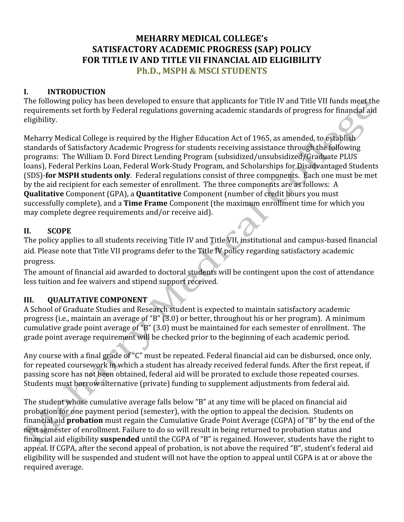# **MEHARRY MEDICAL COLLEGE's** SATISFACTORY ACADEMIC PROGRESS (SAP) POLICY FOR TITLE IV AND TITLE VII FINANCIAL AID ELIGIBILITY **Ph.D., MSPH & MSCI STUDENTS**

### $\mathbf{I}$ . **INTRODUCTION**

The following policy has been developed to ensure that applicants for Title IV and Title VII funds meet the requirements set forth by Federal regulations governing academic standards of progress for financial aid eligibility.

Meharry Medical College is required by the Higher Education Act of 1965, as amended, to establish standards of Satisfactory Academic Progress for students receiving assistance through the following programs: The William D. Ford Direct Lending Program (subsidized/unsubsidized/Graduate PLUS loans), Federal Perkins Loan, Federal Work-Study Program, and Scholarships for Disadvantaged Students (SDS)-for MSPH students only. Federal regulations consist of three components. Each one must be met by the aid recipient for each semester of enrollment. The three components are as follows: A Qualitative Component (GPA), a Quantitative Component (number of credit hours you must successfully complete), and a Time Frame Component (the maximum enrollment time for which you may complete degree requirements and/or receive aid).

### **SCOPE** II.

The policy applies to all students receiving Title IV and Title VII, institutional and campus-based financial aid. Please note that Title VII programs defer to the Title IV policy regarding satisfactory academic progress.

The amount of financial aid awarded to doctoral students will be contingent upon the cost of attendance less tuition and fee waivers and stipend support received.

### III. **QUALITATIVE COMPONENT**

A School of Graduate Studies and Research student is expected to maintain satisfactory academic progress (i.e., maintain an average of "B" (3.0) or better, throughout his or her program). A minimum cumulative grade point average of "B" (3.0) must be maintained for each semester of enrollment. The grade point average requirement will be checked prior to the beginning of each academic period.

Any course with a final grade of "C" must be repeated. Federal financial aid can be disbursed, once only, for repeated coursework in which a student has already received federal funds. After the first repeat, if passing score has not been obtained, federal aid will be prorated to exclude those repeated courses. Students must borrow alternative (private) funding to supplement adjustments from federal aid.

The student whose cumulative average falls below "B" at any time will be placed on financial aid probation for one payment period (semester), with the option to appeal the decision. Students on financial aid **probation** must regain the Cumulative Grade Point Average (CGPA) of "B" by the end of the next semester of enrollment. Failure to do so will result in being returned to probation status and financial aid eligibility suspended until the CGPA of "B" is regained. However, students have the right to appeal. If CGPA, after the second appeal of probation, is not above the required "B", student's federal aid eligibility will be suspended and student will not have the option to appeal until CGPA is at or above the required average.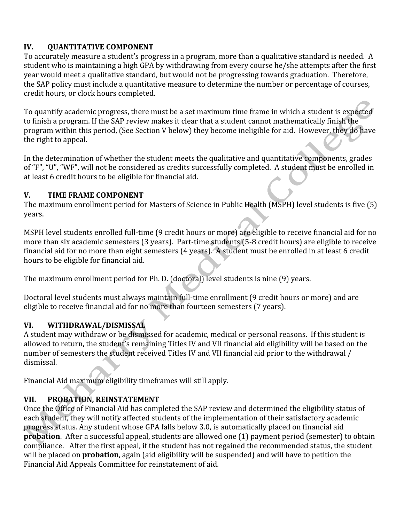## IV. **OUANTITATIVE COMPONENT**

To accurately measure a student's progress in a program, more than a qualitative standard is needed. A student who is maintaining a high GPA by withdrawing from every course he/she attempts after the first year would meet a qualitative standard, but would not be progressing towards graduation. Therefore, the SAP policy must include a quantitative measure to determine the number or percentage of courses. credit hours, or clock hours completed.

To quantify academic progress, there must be a set maximum time frame in which a student is expected to finish a program. If the SAP review makes it clear that a student cannot mathematically finish the program within this period, (See Section V below) they become ineligible for aid. However, they do have the right to appeal.

In the determination of whether the student meets the qualitative and quantitative components, grades of "F", "U", "WF", will not be considered as credits successfully completed. A student must be enrolled in at least 6 credit hours to be eligible for financial aid.

### $V_{-}$ TIME FRAME COMPONENT

The maximum enrollment period for Masters of Science in Public Health (MSPH) level students is five (5) years.

MSPH level students enrolled full-time (9 credit hours or more) are eligible to receive financial aid for no more than six academic semesters (3 years). Part-time students (5-8 credit hours) are eligible to receive financial aid for no more than eight semesters (4 years). A student must be enrolled in at least 6 credit hours to be eligible for financial aid.

The maximum enrollment period for Ph. D. (doctoral) level students is nine (9) years.

Doctoral level students must always maintain full-time enrollment (9 credit hours or more) and are eligible to receive financial aid for no more than fourteen semesters (7 years).

## VI. WITHDRAWAL/DISMISSAL

A student may withdraw or be dismissed for academic, medical or personal reasons. If this student is allowed to return, the student's remaining Titles IV and VII financial aid eligibility will be based on the number of semesters the student received Titles IV and VII financial aid prior to the withdrawal / dismissal.

Financial Aid maximum eligibility timeframes will still apply.

## PROBATION, REINSTATEMENT VII.

Once the Office of Financial Aid has completed the SAP review and determined the eligibility status of each student, they will notify affected students of the implementation of their satisfactory academic progress status. Any student whose GPA falls below 3.0, is automatically placed on financial aid **probation**. After a successful appeal, students are allowed one (1) payment period (semester) to obtain compliance. After the first appeal, if the student has not regained the recommended status, the student will be placed on **probation**, again (aid eligibility will be suspended) and will have to petition the Financial Aid Appeals Committee for reinstatement of aid.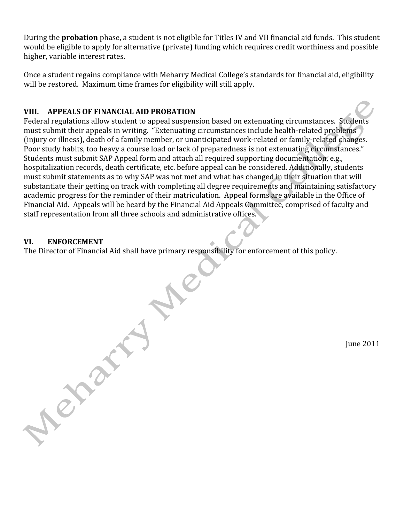During the **probation** phase, a student is not eligible for Titles IV and VII financial aid funds. This student would be eligible to apply for alternative (private) funding which requires credit worthiness and possible higher, variable interest rates.

Once a student regains compliance with Meharry Medical College's standards for financial aid, eligibility will be restored. Maximum time frames for eligibility will still apply.

## VIII. APPEALS OF FINANCIAL AID PROBATION

Federal regulations allow student to appeal suspension based on extenuating circumstances. Students must submit their appeals in writing. "Extenuating circumstances include health-related problems" (injury or illness), death of a family member, or unanticipated work-related or family-related changes. Poor study habits, too heavy a course load or lack of preparedness is not extenuating circumstances." Students must submit SAP Appeal form and attach all required supporting documentation, e.g., hospitalization records, death certificate, etc. before appeal can be considered. Additionally, students must submit statements as to why SAP was not met and what has changed in their situation that will substantiate their getting on track with completing all degree requirements and maintaining satisfactory academic progress for the reminder of their matriculation. Appeal forms are available in the Office of Financial Aid. Appeals will be heard by the Financial Aid Appeals Committee, comprised of faculty and staff representation from all three schools and administrative offices.

### VI. **ENFORCEMENT**

Next a

The Director of Financial Aid shall have primary responsibility for enforcement of this policy.

June 2011